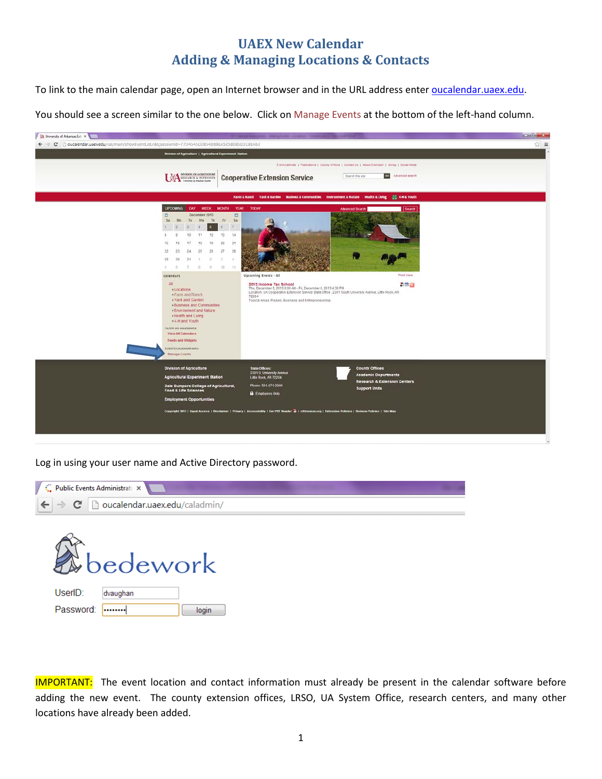# **UAEX New Calendar Adding & Managing Locations & Contacts**

To link to the main calendar page, open an Internet browser and in the URL address enter oucalendar.uaex.edu.

You should see a screen similar to the one below. Click on Manage Events at the bottom of the left-hand column.



Log in using your user name and Active Directory password.

| Public Events Administrati X |                                                   |  |  |  |  |  |  |  |
|------------------------------|---------------------------------------------------|--|--|--|--|--|--|--|
| c<br>$\rightarrow$           | oucalendar.uaex.edu/caladmin/                     |  |  |  |  |  |  |  |
| UserID:<br>Password:         | <b><i>Dibedework</i></b><br>dvaughan<br>login<br> |  |  |  |  |  |  |  |

IMPORTANT: The event location and contact information must already be present in the calendar software before adding the new event. The county extension offices, LRSO, UA System Office, research centers, and many other locations have already been added.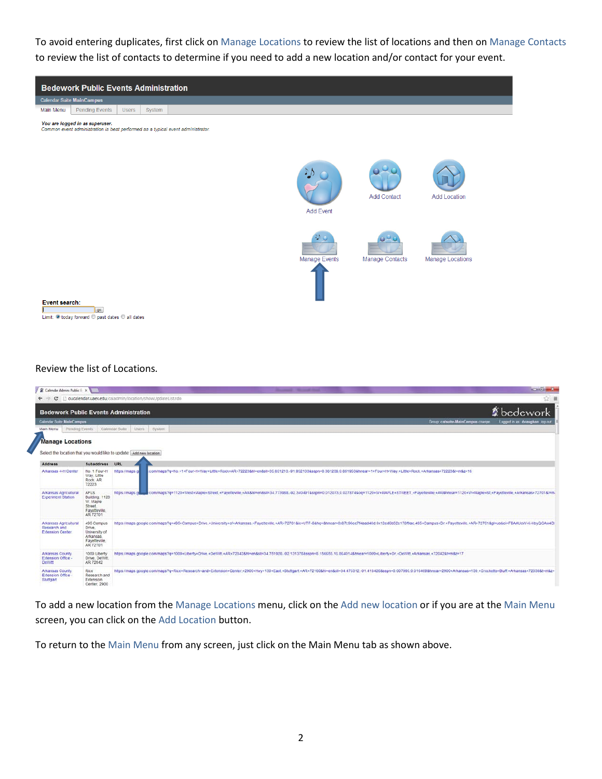To avoid entering duplicates, first click on Manage Locations to review the list of locations and then on Manage Contacts to review the list of contacts to determine if you need to add a new location and/or contact for your event.



## Review the list of Locations.

| Calendar Admin: Public E X                                       |                                                                                  | <b>HERMAN BRANCH</b><br><b>Roomed Chrysler State</b>                                                                                                                                                                           |
|------------------------------------------------------------------|----------------------------------------------------------------------------------|--------------------------------------------------------------------------------------------------------------------------------------------------------------------------------------------------------------------------------|
| G                                                                |                                                                                  | ☆■<br>oucalendar.uaex.edu/caladmin/location/showUpdateList.rdo                                                                                                                                                                 |
| <b>Bedework Public Events Administration</b>                     |                                                                                  | <b>*</b> bedework                                                                                                                                                                                                              |
| <b>Calendar Suite MainCampus</b>                                 |                                                                                  | Group: calsuite-MainCampus change<br>Logged in as: dvaughan log out                                                                                                                                                            |
| Pending Events<br>Main Menu                                      |                                                                                  | System<br>Calendar Suite Lisers                                                                                                                                                                                                |
| <b>Manage Locations</b>                                          |                                                                                  |                                                                                                                                                                                                                                |
|                                                                  |                                                                                  | Select the location that you would like to update: Add new location                                                                                                                                                            |
|                                                                  |                                                                                  |                                                                                                                                                                                                                                |
| Address<br>Arkansas 4-H Center                                   | Subaddress<br>No. 1 Four-H                                                       | URL                                                                                                                                                                                                                            |
|                                                                  | Way, Little<br>Rock AR<br>72223                                                  | com/maps?q=No.+1+Four-H+V/ay+Little+Rock+AR+72223&Ni=en&sll=35.851213.-91.952133&sspn=0.381238.0.891953&hnear=1+Four+H+V/ay,+Little+Rock.+Arkansas+72223&t=m8z=16<br>https://maps.g                                            |
| Arkansas Agricultural<br><b>Experiment Station</b>               | <b>AFLS</b><br>Building, 1120<br>W. Maple<br>Street<br>Favetteville.<br>AR 72701 | com/maps?q=1120+West+Maple+Street.+Fayetteville.+AR&hl=en&sll=34.773988.-92.340491&sspn=0.012073.0.027874&oq=1120+W+MAPLE+STREET.+Fayetteville.+AR&hnear=1120+W+Maple+St.+Fayetteville.+Arkansas+72701&t=m<br>https://maps.gl  |
| Arkansas Agricultural<br>Research and<br><b>Extension Center</b> | 495 Campus<br>Drive.<br>University of<br>Arkansas.<br>Fayetteville<br>AR 72701   | https://maps.google.com/maps?q=495+Campus+Drive.+University+of+Arkansas.+Fayetteville.+AR+72701≤=UTF-8&hq=&hnear=0x87c96ee7f4aad40d:0x12ed6b52e178f9ae.495+Campus+Dr.+Fayetteville.+AR+72701≷=US⪙=FBAAUoW-K-HbyQGAw4Dl         |
| <b>Arkansas County</b><br>Extension Office -<br><b>DeV/itt</b>   | 1009 Liberty<br>Drive, DeWitt.<br>AR 72042                                       | https://maps.google.com/maps?q=1009+Liberty+Drive.+DeWitt.+AR+72042&hl=en&sll=34.751928.-92.131378&sspn=8.156655.16.864014&hnear=1009+Liberty+Dr.+DeWitt.+Arkansas.+72042&t=m&z=17                                             |
| Ankansas County<br>Extension Office<br>Stuttgart                 | Rice<br>Research and<br>Extension<br>Center, 2900                                | https://maps.google.com/maps?q=Rice+Research+and+Extension+Center,+2900+Hwy+130+East,+Stuttgart,+AR+72160&hi=en8sll=34.475312.-91.416426&sspn=0.007995.0.016469&hnear=2900+Arkansas+130.+Crocketts+Bluff,+Arkansas+72038&t=m82 |

To add a new location from the Manage Locations menu, click on the Add new location or if you are at the Main Menu screen, you can click on the Add Location button.

To return to the Main Menu from any screen, just click on the Main Menu tab as shown above.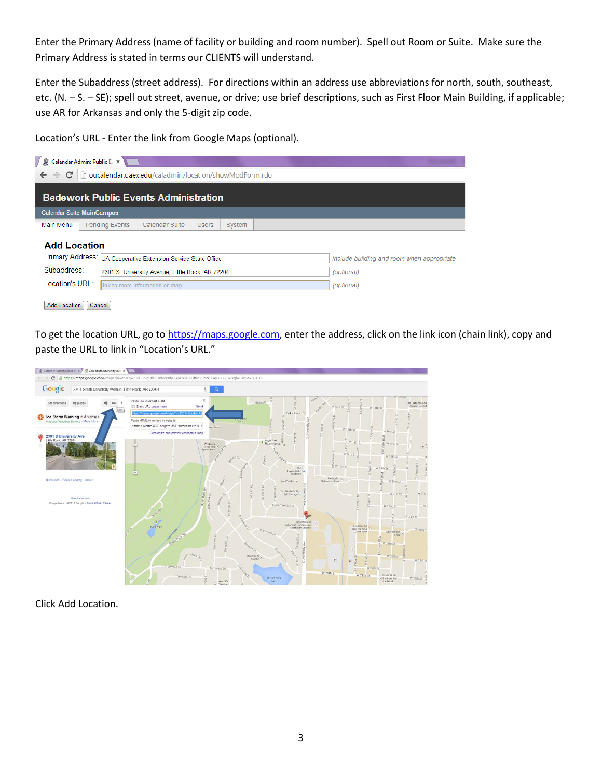Enter the Primary Address (name of facility or building and room number). Spell out Room or Suite. Make sure the Primary Address is stated in terms our CLIENTS will understand.

Enter the Subaddress (street address). For directions within an address use abbreviations for north, south, southeast, etc. (N. – S. – SE); spell out street, avenue, or drive; use brief descriptions, such as First Floor Main Building, if applicable; use AR for Arkansas and only the 5-digit zip code.

Location's URL - Enter the link from Google Maps (optional).

|                                              | Calendar Admin: Public E x                                       |                                                  |              |        |  |  |                                            |  |  |
|----------------------------------------------|------------------------------------------------------------------|--------------------------------------------------|--------------|--------|--|--|--------------------------------------------|--|--|
| C<br>$\leftarrow$<br>$\Rightarrow$           | la oucalendar.uaex.edu/caladmin/location/showModForm.rdo         |                                                  |              |        |  |  |                                            |  |  |
| <b>Bedework Public Events Administration</b> |                                                                  |                                                  |              |        |  |  |                                            |  |  |
|                                              | <b>Calendar Suite MainCampus</b>                                 |                                                  |              |        |  |  |                                            |  |  |
| Main Menu                                    | <b>Pending Events</b>                                            | Calendar Suite                                   | <b>Users</b> | System |  |  |                                            |  |  |
| <b>Add Location</b>                          |                                                                  |                                                  |              |        |  |  |                                            |  |  |
|                                              | Primary Address: UA Cooperative Extension Service State Office   |                                                  |              |        |  |  | include building and room when appropriate |  |  |
| Subaddress:                                  |                                                                  | 2301 S. University Avenue, Little Rock, AR 72204 |              |        |  |  | (optional)                                 |  |  |
|                                              | Location's URL:<br>link to more information or map<br>(optional) |                                                  |              |        |  |  |                                            |  |  |
|                                              | <b>Add Location</b><br>Cancel                                    |                                                  |              |        |  |  |                                            |  |  |

To get the location URL, go t[o https://maps.google.com,](https://maps.google.com/) enter the address, click on the link icon (chain link), copy and paste the URL to link in "Location's URL."



Click Add Location.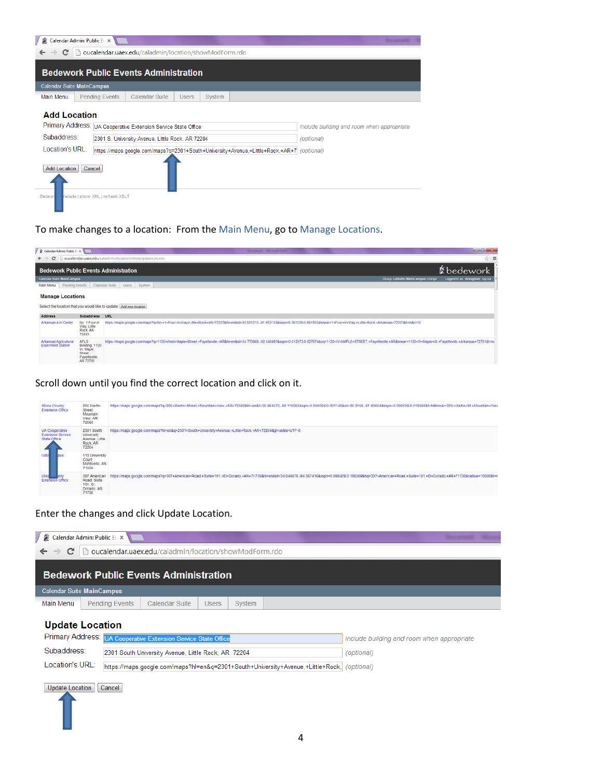| 贠                                                                                                                                                             | Calendar Admin: Public E x                             |                                                                                                                    |              |                                                          |  |            |  |  |  |
|---------------------------------------------------------------------------------------------------------------------------------------------------------------|--------------------------------------------------------|--------------------------------------------------------------------------------------------------------------------|--------------|----------------------------------------------------------|--|------------|--|--|--|
| C<br>$\rightarrow$                                                                                                                                            | noucalendar.uaex.edu/caladmin/location/showModForm.rdo |                                                                                                                    |              |                                                          |  |            |  |  |  |
| <b>Bedework Public Events Administration</b>                                                                                                                  |                                                        |                                                                                                                    |              |                                                          |  |            |  |  |  |
|                                                                                                                                                               | <b>Calendar Suite MainCampus</b>                       |                                                                                                                    |              |                                                          |  |            |  |  |  |
| Main Menu                                                                                                                                                     | <b>Pending Events</b>                                  | Calendar Suite                                                                                                     | <b>Users</b> | System                                                   |  |            |  |  |  |
| <b>Add Location</b><br>Subaddress:                                                                                                                            |                                                        | Primary Address: UA Cooperative Extension Service State Office<br>2301 S. University Avenue, Little Rock, AR 72204 |              | include building and room when appropriate<br>(optional) |  |            |  |  |  |
| Location's URL:                                                                                                                                               |                                                        |                                                                                                                    |              |                                                          |  | (optional) |  |  |  |
| https://maps.google.com/maps?q=2301+South+University+Avenue,+Little+Rock,+AR+7<br><b>Add Location</b><br>Cancel<br>Bedew<br>/ebsite   show XML   refresh XSLT |                                                        |                                                                                                                    |              |                                                          |  |            |  |  |  |

To make changes to a location: From the Main Menu, go to Manage Locations.

| & Calendar Admin: Public E x                       |                                                                           | <b>INCOME COMMENT</b><br><b>Manager of Manager State</b>                                                                                                                                                                    |
|----------------------------------------------------|---------------------------------------------------------------------------|-----------------------------------------------------------------------------------------------------------------------------------------------------------------------------------------------------------------------------|
| $\leftarrow$                                       |                                                                           | ☆■<br>C [ ] oucalendar.uaex.edu/caladmin/location/showUpdateList.rdo                                                                                                                                                        |
| <b>Bedework Public Events Administration</b>       |                                                                           | <b>A</b> bedework                                                                                                                                                                                                           |
| Calendar Suite MainCampus                          |                                                                           | Group: calsuite-MainCampus change<br>Logged in as: dynughan log out                                                                                                                                                         |
| Pending Events<br>Main Menu                        |                                                                           | Calendar Suite Users System                                                                                                                                                                                                 |
| <b>Manage Locations</b><br>Address                 | Subaddress URL                                                            | Select the location that you would like to update: Add new location                                                                                                                                                         |
| Arkansas 4-H Center                                | No. 1 Four-H<br>Way, Little<br>Rock AR<br>72223                           | https://maps.google.com/maps?q=No +1+Four-H+Way+Little+Rock+AR+72223&hl=en\$sll=35.851213.91.952133&sspn=0.381238.0.891953&hnear=1+Four+H+Way,+Little+Rock+Arkansas+72223&hm&z=16                                           |
| Arkansas Agricultural<br><b>Experiment Station</b> | AFLS<br>Building, 1120<br>W. Maple<br>Street<br>Fayetteville.<br>AR 72701 | https://maps.google.com/maps?q=1120+West+Maple+Street.+Fayettevile.+AR&hi=en&sll=34.773988.-92.340491&sspn=0.012073.0.027874&oq=1120+W+MAPLE+STREET.+Fayettevile.+AR&hnear=1120+W+Maple+St.+Fayettevile.+Arkansas+72701&t=m |

Scroll down until you find the correct location and click on it.

| Stone County<br><b>Extension Office</b>             | 205 Martin<br>Street.<br>Mountain<br>View, AR<br>72560          | https://maps.google.com/maps?q=205+Martin+Street.+Mountain+View.+AR+725608hl=en88=35.864572-92.1102658spn=0.000594.0.0011488sll=36.2159-91.606848sspn=0.009539.0.0183688spn=0.009539.0.01836881=B8hnear=205+Martin+St-Mountain |
|-----------------------------------------------------|-----------------------------------------------------------------|--------------------------------------------------------------------------------------------------------------------------------------------------------------------------------------------------------------------------------|
| UA Cooperative<br>Extension Service<br>State Office | 2301 South<br>University<br>Avenue, Little<br>Rock, AR<br>72204 | https://maps.google.com/maps?hl=en&q=2301+South+University+Avenue.+Little+Rock.+AR+72204≷=us&ie=UTF-8                                                                                                                          |
| ----<br>LIAM                                        | 110 University<br>Court.<br>Monticello, AR<br>71656             |                                                                                                                                                                                                                                |
| Unio<br><b>Extension Office</b>                     | 307 American<br>Road, Suite<br>101. EL<br>Dorado, AR<br>71730   | https://maps.google.com/maps?g=307+American+Road-+Sutle+101-+El+Dorado-+AR+71730&hl=en&stl=34.044678-94.367416&sspn=0.096429.0.198269&hg=307+American+Road-+Sutle+101-El+Dorado-+AR+71730&hl=en                                |

Enter the changes and click Update Location.

| Calendar Admin: Public E X                   |                                                       |                                                      |              |        |                                                                                 |                                            |  |  |  |  |
|----------------------------------------------|-------------------------------------------------------|------------------------------------------------------|--------------|--------|---------------------------------------------------------------------------------|--------------------------------------------|--|--|--|--|
| C<br>$\leftarrow$<br>$\rightarrow$           | oucalendar.uaex.edu/caladmin/location/showModForm.rdo |                                                      |              |        |                                                                                 |                                            |  |  |  |  |
| <b>Bedework Public Events Administration</b> |                                                       |                                                      |              |        |                                                                                 |                                            |  |  |  |  |
|                                              | <b>Calendar Suite MainCampus</b>                      |                                                      |              |        |                                                                                 |                                            |  |  |  |  |
| Main Menu                                    | <b>Pending Events</b>                                 | <b>Calendar Suite</b>                                | <b>Users</b> | System |                                                                                 |                                            |  |  |  |  |
|                                              | <b>Update Location</b>                                |                                                      |              |        |                                                                                 |                                            |  |  |  |  |
| <b>Primary Address:</b>                      |                                                       | <b>UA Cooperative Extension Service State Office</b> |              |        |                                                                                 | include building and room when appropriate |  |  |  |  |
| Subaddress:                                  |                                                       | 2301 South University Avenue, Little Rock, AR 72204  |              |        |                                                                                 | (optional)                                 |  |  |  |  |
| Location's URL:                              |                                                       |                                                      |              |        | https://maps.google.com/maps?hl=en&q=2301+South+University+Avenue,+Little+Rock, | (optional)                                 |  |  |  |  |
| Update Location                              | Cancel                                                |                                                      |              |        | л                                                                               |                                            |  |  |  |  |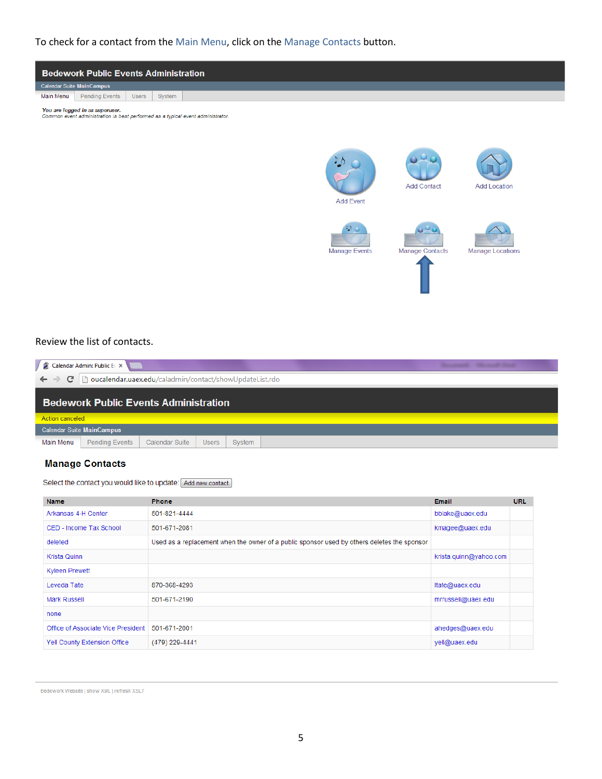## To check for a contact from the Main Menu, click on the Manage Contacts button.



**You are logged in as superuser.**<br>Common event administration is best performed as a typical event administrator.















|                                                                                                 | Calendar Admin: Public E X<br><b>Books and Company's County</b> |                |              |        |  |  |  |  |  |  |
|-------------------------------------------------------------------------------------------------|-----------------------------------------------------------------|----------------|--------------|--------|--|--|--|--|--|--|
| $\leftarrow \rightarrow \mathbf{C}$   b oucalendar.uaex.edu/caladmin/contact/showUpdateList.rdo |                                                                 |                |              |        |  |  |  |  |  |  |
| <b>Bedework Public Events Administration</b>                                                    |                                                                 |                |              |        |  |  |  |  |  |  |
|                                                                                                 | Action canceled.                                                |                |              |        |  |  |  |  |  |  |
| <b>Calendar Suite MainCampus</b>                                                                |                                                                 |                |              |        |  |  |  |  |  |  |
| Main Menu                                                                                       | <b>Pending Events</b>                                           | Calendar Suite | <b>Users</b> | System |  |  |  |  |  |  |

## **Manage Contacts**

## Select the contact you would like to update: Add new contact

| <b>Name</b>                                       | <b>Phone</b>                                                                                | <b>Email</b>           | <b>URL</b> |
|---------------------------------------------------|---------------------------------------------------------------------------------------------|------------------------|------------|
| Arkansas 4-H Center                               | 501-821-4444                                                                                | bblake@uaex.edu        |            |
| CED - Income Tax School                           | 501-671-2081                                                                                | kmagee@uaex.edu        |            |
| deleted                                           | Used as a replacement when the owner of a public sponsor used by others deletes the sponsor |                        |            |
| Krista Quinn                                      |                                                                                             | krista.quinn@yahoo.com |            |
| <b>Kyleen Prewett</b>                             |                                                                                             |                        |            |
| Leveda Tate                                       | 870-368-4293                                                                                | ltate@uaex.edu         |            |
| <b>Mark Russell</b>                               | 501-671-2190                                                                                | mrrussell@uaex.edu     |            |
| none                                              |                                                                                             |                        |            |
| Office of Associate Vice President   501-671-2001 |                                                                                             | ahedges@uaex.edu       |            |
| Yell County Extension Office                      | (479) 229-4441                                                                              | yell@uaex.edu          |            |

Bedework Website | show XML | refresh XSLT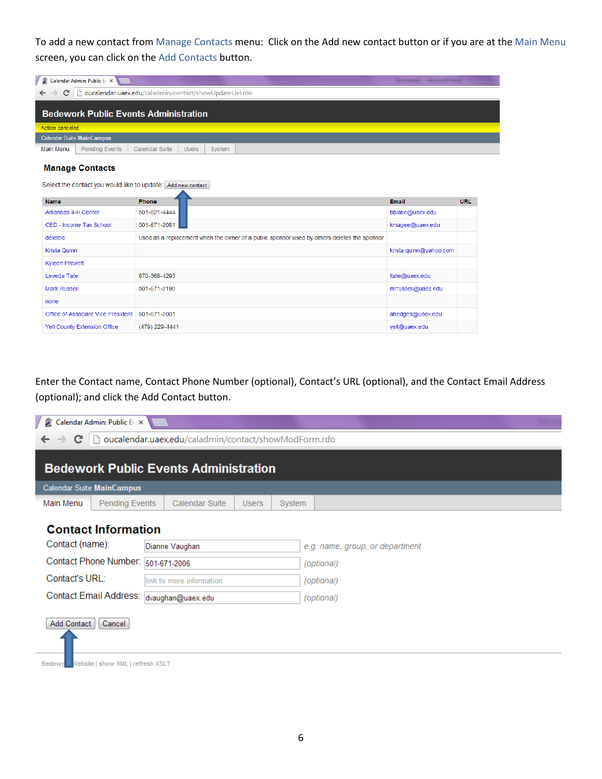To add a new contact from Manage Contacts menu: Click on the Add new contact button or if you are at the Main Menu screen, you can click on the Add Contacts button.

| Calendar Admin: Public E X<br><b>Second Second Second</b> |                                                                                                                                                                 |                |              |        |  |  |  |  |  |  |  |
|-----------------------------------------------------------|-----------------------------------------------------------------------------------------------------------------------------------------------------------------|----------------|--------------|--------|--|--|--|--|--|--|--|
|                                                           | $\leftarrow$ $\rightarrow$ $\left\{ \begin{array}{c} \begin{array}{c} \end{array} \end{array} \right\}$ oucalendar.uaex.edu/caladmin/contact/showUpdateList.rdo |                |              |        |  |  |  |  |  |  |  |
|                                                           | <b>Bedework Public Events Administration</b>                                                                                                                    |                |              |        |  |  |  |  |  |  |  |
| Action canceled.                                          |                                                                                                                                                                 |                |              |        |  |  |  |  |  |  |  |
|                                                           | <b>Calendar Suite MainCampus</b>                                                                                                                                |                |              |        |  |  |  |  |  |  |  |
| <b>Main Menu</b>                                          | <b>Pending Events</b>                                                                                                                                           | Calendar Suite | <b>Users</b> | System |  |  |  |  |  |  |  |
|                                                           |                                                                                                                                                                 |                |              |        |  |  |  |  |  |  |  |

#### **Manage Contacts**

Select the contact you would like to update: Add new contact

| <b>Name</b>                        | <b>Phone</b>                                                                                | <b>Email</b>           | <b>URL</b> |
|------------------------------------|---------------------------------------------------------------------------------------------|------------------------|------------|
| Arkansas 4-H Center                | 501-821-4444                                                                                | bblake@uaex.edu        |            |
| CED - Income Tax School            | 501-671-2081                                                                                | kmagee@uaex.edu        |            |
| deleted                            | Used as a replacement when the owner of a public sponsor used by others deletes the sponsor |                        |            |
| Krista Quinn                       |                                                                                             | krista.quinn@yahoo.com |            |
| <b>Kyleen Prewett</b>              |                                                                                             |                        |            |
| Leveda Tate                        | 870-368-4293                                                                                | Itate@uaex.edu         |            |
| Mark Russell                       | 501-671-2190                                                                                | mrrussell@uaex.edu     |            |
| none                               |                                                                                             |                        |            |
| Office of Associate Vice President | 501-671-2001                                                                                | ahedges@uaex.edu       |            |
| Yell County Extension Office       | (479) 229-4441                                                                              | yell@uaex.edu          |            |

Enter the Contact name, Contact Phone Number (optional), Contact's URL (optional), and the Contact Email Address (optional); and click the Add Contact button.

| la oucalendar.uaex.edu/caladmin/contact/showModForm.rdo<br>$\rightarrow$<br>C.<br>←<br><b>Bedework Public Events Administration</b><br><b>Calendar Suite MainCampus</b><br>Main Menu<br><b>Pending Events</b><br>Calendar Suite<br>System<br><b>Users</b><br><b>Contact Information</b><br>Contact (name):<br>Dianne Vaughan<br>e.g. name, group, or department<br>Contact Phone Number: 501-671-2006<br>(optional)<br>Contact's URL:<br>link to more information<br>(optional)<br><b>Contact Email Address:</b> | Calendar Admin: Public E X |  |                   |  |  |  |  |  |  |
|------------------------------------------------------------------------------------------------------------------------------------------------------------------------------------------------------------------------------------------------------------------------------------------------------------------------------------------------------------------------------------------------------------------------------------------------------------------------------------------------------------------|----------------------------|--|-------------------|--|--|--|--|--|--|
|                                                                                                                                                                                                                                                                                                                                                                                                                                                                                                                  |                            |  |                   |  |  |  |  |  |  |
|                                                                                                                                                                                                                                                                                                                                                                                                                                                                                                                  |                            |  |                   |  |  |  |  |  |  |
|                                                                                                                                                                                                                                                                                                                                                                                                                                                                                                                  |                            |  |                   |  |  |  |  |  |  |
|                                                                                                                                                                                                                                                                                                                                                                                                                                                                                                                  |                            |  |                   |  |  |  |  |  |  |
|                                                                                                                                                                                                                                                                                                                                                                                                                                                                                                                  |                            |  |                   |  |  |  |  |  |  |
|                                                                                                                                                                                                                                                                                                                                                                                                                                                                                                                  |                            |  |                   |  |  |  |  |  |  |
|                                                                                                                                                                                                                                                                                                                                                                                                                                                                                                                  |                            |  |                   |  |  |  |  |  |  |
| (optional)                                                                                                                                                                                                                                                                                                                                                                                                                                                                                                       |                            |  | dvaughan@uaex.edu |  |  |  |  |  |  |
| Add Contact<br>Cancel<br>Vebsite   show XML   refresh XSLT<br><b>Bedewo</b>                                                                                                                                                                                                                                                                                                                                                                                                                                      |                            |  |                   |  |  |  |  |  |  |